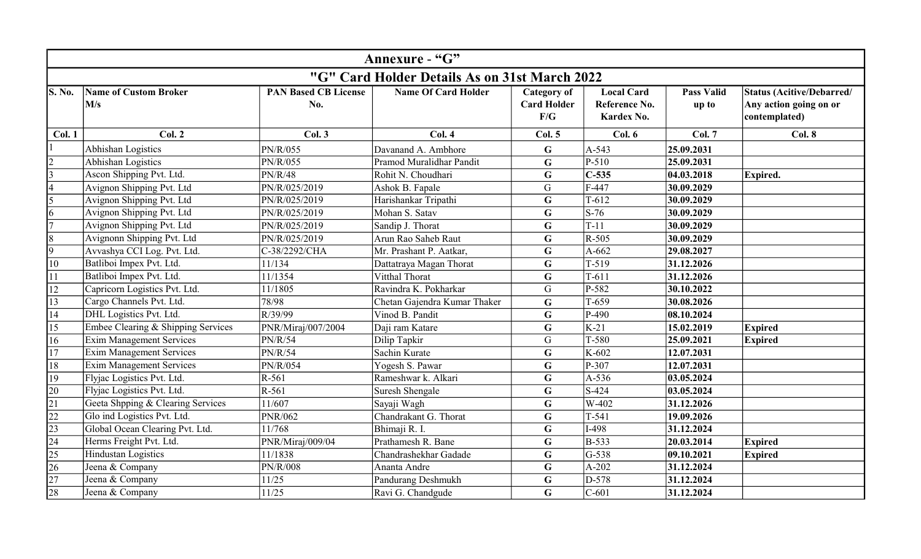| Annexure - "G"                                |                                     |                                    |                              |                                                 |                                                  |                            |                                                                      |  |
|-----------------------------------------------|-------------------------------------|------------------------------------|------------------------------|-------------------------------------------------|--------------------------------------------------|----------------------------|----------------------------------------------------------------------|--|
| "G" Card Holder Details As on 31st March 2022 |                                     |                                    |                              |                                                 |                                                  |                            |                                                                      |  |
| <b>S. No.</b>                                 | <b>Name of Custom Broker</b><br>M/s | <b>PAN Based CB License</b><br>No. | <b>Name Of Card Holder</b>   | <b>Category of</b><br><b>Card Holder</b><br>F/G | <b>Local Card</b><br>Reference No.<br>Kardex No. | <b>Pass Valid</b><br>up to | Status (Acitive/Debarred/<br>Any action going on or<br>contemplated) |  |
| Col. 1                                        | Col. 2                              | Col.3                              | Col.4                        | Col. 5                                          | Col. 6                                           | <b>Col. 7</b>              | Col. 8                                                               |  |
|                                               | Abhishan Logistics                  | PN/R/055                           | Davanand A. Ambhore          | G                                               | A-543                                            | 25.09.2031                 |                                                                      |  |
| $\overline{c}$                                | Abhishan Logistics                  | PN/R/055                           | Pramod Muralidhar Pandit     | $\mathbf G$                                     | $P-510$                                          | 25.09.2031                 |                                                                      |  |
| $\overline{3}$                                | Ascon Shipping Pvt. Ltd.            | <b>PN/R/48</b>                     | Rohit N. Choudhari           | $\mathbf G$                                     | $C-535$                                          | 04.03.2018                 | Expired.                                                             |  |
| $\overline{4}$                                | Avignon Shipping Pvt. Ltd           | PN/R/025/2019                      | Ashok B. Fapale              | $\mathsf G$                                     | $F-447$                                          | 30.09.2029                 |                                                                      |  |
| 5                                             | Avignon Shipping Pvt. Ltd           | PN/R/025/2019                      | Harishankar Tripathi         | G                                               | $T-612$                                          | 30.09.2029                 |                                                                      |  |
| 6                                             | Avignon Shipping Pvt. Ltd           | PN/R/025/2019                      | Mohan S. Satav               | $\mathbf G$                                     | $S-76$                                           | 30.09.2029                 |                                                                      |  |
| $\overline{7}$                                | Avignon Shipping Pvt. Ltd           | PN/R/025/2019                      | Sandip J. Thorat             | $\mathbf G$                                     | $T-11$                                           | 30.09.2029                 |                                                                      |  |
| $\overline{8}$                                | Avignonn Shipping Pvt. Ltd          | PN/R/025/2019                      | Arun Rao Saheb Raut          | $\mathbf G$                                     | $R-505$                                          | 30.09.2029                 |                                                                      |  |
| $\overline{9}$                                | Avvashya CCI Log. Pvt. Ltd.         | C-38/2292/CHA                      | Mr. Prashant P. Aatkar,      | G                                               | $A-662$                                          | 29.08.2027                 |                                                                      |  |
| 10                                            | Batliboi Impex Pvt. Ltd.            | 11/134                             | Dattatraya Magan Thorat      | $\mathbf G$                                     | $T-519$                                          | 31.12.2026                 |                                                                      |  |
| 11                                            | Batliboi Impex Pvt. Ltd.            | 11/1354                            | Vitthal Thorat               | $\mathbf G$                                     | $T-611$                                          | 31.12.2026                 |                                                                      |  |
| 12                                            | Capricorn Logistics Pvt. Ltd.       | 11/1805                            | Ravindra K. Pokharkar        | $\mathsf G$                                     | P-582                                            | 30.10.2022                 |                                                                      |  |
| 13                                            | Cargo Channels Pvt. Ltd.            | 78/98                              | Chetan Gajendra Kumar Thaker | G                                               | $T-659$                                          | 30.08.2026                 |                                                                      |  |
| 14                                            | DHL Logistics Pvt. Ltd.             | R/39/99                            | Vinod B. Pandit              | $\mathbf G$                                     | P-490                                            | 08.10.2024                 |                                                                      |  |
| 15                                            | Embee Clearing & Shipping Services  | PNR/Miraj/007/2004                 | Daji ram Katare              | G                                               | $K-21$                                           | 15.02.2019                 | Expired                                                              |  |
| 16                                            | <b>Exim Management Services</b>     | <b>PN/R/54</b>                     | Dilip Tapkir                 | G                                               | $T-580$                                          | 25.09.2021                 | Expired                                                              |  |
| $\overline{17}$                               | <b>Exim Management Services</b>     | PN/R/54                            | Sachin Kurate                | $\mathbf G$                                     | K-602                                            | 12.07.2031                 |                                                                      |  |
| 18                                            | <b>Exim Management Services</b>     | PN/R/054                           | Yogesh S. Pawar              | G                                               | P-307                                            | 12.07.2031                 |                                                                      |  |
| 19                                            | Flyjac Logistics Pvt. Ltd.          | $R-561$                            | Rameshwar k. Alkari          | $\mathbf G$                                     | A-536                                            | 03.05.2024                 |                                                                      |  |
| 20                                            | Flyjac Logistics Pvt. Ltd.          | $R-561$                            | Suresh Shengale              | $\mathbf G$                                     | $S-424$                                          | 03.05.2024                 |                                                                      |  |
| 21                                            | Geeta Shpping & Clearing Services   | 11/607                             | Sayaji Wagh                  | $\mathbf G$                                     | $W-402$                                          | 31.12.2026                 |                                                                      |  |
| $\overline{22}$                               | Glo ind Logistics Pvt. Ltd.         | <b>PNR/062</b>                     | Chandrakant G. Thorat        | G                                               | $T-541$                                          | 19.09.2026                 |                                                                      |  |
| $\sqrt{23}$                                   | Global Ocean Clearing Pvt. Ltd.     | 11/768                             | Bhimaji R. I.                | $\mathbf G$                                     | $I-498$                                          | 31.12.2024                 |                                                                      |  |
| $\overline{24}$                               | Herms Freight Pvt. Ltd.             | PNR/Miraj/009/04                   | Prathamesh R. Bane           | $\mathbf G$                                     | $B-533$                                          | 20.03.2014                 | Expired                                                              |  |
| 25                                            | Hindustan Logistics                 | 11/1838                            | Chandrashekhar Gadade        | G                                               | $G-538$                                          | 09.10.2021                 | <b>Expired</b>                                                       |  |
| 26                                            | Jeena & Company                     | <b>PN/R/008</b>                    | Ananta Andre                 | $\mathbf G$                                     | $A-202$                                          | 31.12.2024                 |                                                                      |  |
| $\overline{27}$                               | Jeena & Company                     | 11/25                              | Pandurang Deshmukh           | G                                               | D-578                                            | 31.12.2024                 |                                                                      |  |
| 28                                            | Jeena & Company                     | 11/25                              | Ravi G. Chandgude            | $\mathbf G$                                     | $C-601$                                          | 31.12.2024                 |                                                                      |  |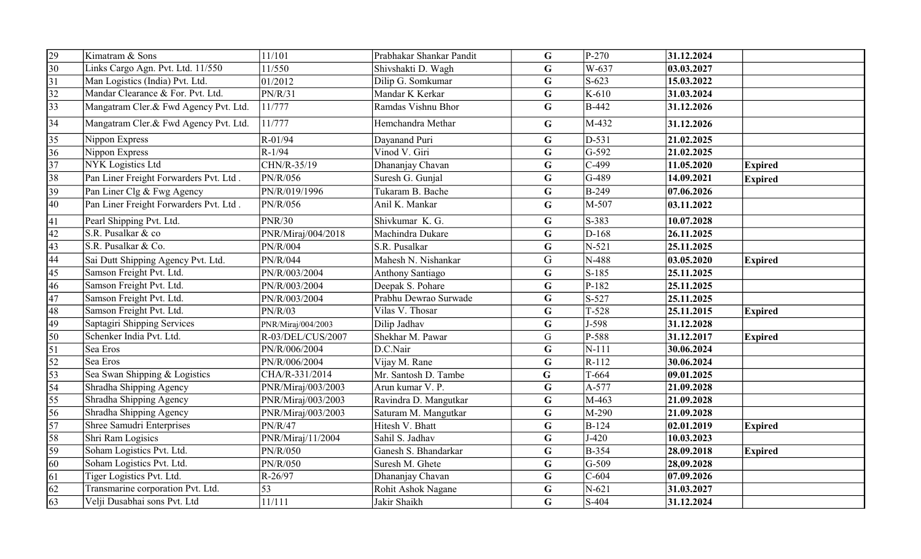| 29              | Kimatram & Sons                        | 11/101             | Prabhakar Shankar Pandit | G           | $P-270$      | 31.12.2024 |                |
|-----------------|----------------------------------------|--------------------|--------------------------|-------------|--------------|------------|----------------|
| $\overline{30}$ | Links Cargo Agn. Pvt. Ltd. 11/550      | 11/550             | Shivshakti D. Wagh       | G           | W-637        | 03.03.2027 |                |
| $\overline{31}$ | Man Logistics (India) Pvt. Ltd.        | 01/2012            | Dilip G. Somkumar        | $\mathbf G$ | $S-623$      | 15.03.2022 |                |
| $\overline{32}$ | Mandar Clearance & For. Pvt. Ltd.      | PN/R/31            | Mandar K Kerkar          | $\mathbf G$ | $K-610$      | 31.03.2024 |                |
| 33              | Mangatram Cler.& Fwd Agency Pvt. Ltd.  | 11/777             | Ramdas Vishnu Bhor       | $\mathbf G$ | <b>B-442</b> | 31.12.2026 |                |
| 34              | Mangatram Cler.& Fwd Agency Pvt. Ltd.  | 11/777             | Hemchandra Methar        | G           | M-432        | 31.12.2026 |                |
| 35              | Nippon Express                         | R-01/94            | Dayanand Puri            | G           | $D-531$      | 21.02.2025 |                |
| 36              | Nippon Express                         | $R-1/94$           | Vinod V. Giri            | $\mathbf G$ | $G-592$      | 21.02.2025 |                |
| 37              | NYK Logistics Ltd                      | CHN/R-35/19        | Dhananjay Chavan         | $\mathbf G$ | $C-499$      | 11.05.2020 | <b>Expired</b> |
| 38              | Pan Liner Freight Forwarders Pvt. Ltd. | PN/R/056           | Suresh G. Gunjal         | $\mathbf G$ | G-489        | 14.09.2021 | <b>Expired</b> |
| $\overline{39}$ | Pan Liner Clg & Fwg Agency             | PN/R/019/1996      | Tukaram B. Bache         | G           | <b>B-249</b> | 07.06.2026 |                |
| 40              | Pan Liner Freight Forwarders Pvt. Ltd. | PN/R/056           | Anil K. Mankar           | $\mathbf G$ | M-507        | 03.11.2022 |                |
| 41              | Pearl Shipping Pvt. Ltd.               | <b>PNR/30</b>      | Shivkumar K. G.          | $\mathbf G$ | S-383        | 10.07.2028 |                |
| 42              | S.R. Pusalkar & co                     | PNR/Miraj/004/2018 | Machindra Dukare         | $\mathbf G$ | $D-168$      | 26.11.2025 |                |
| $\sqrt{43}$     | S.R. Pusalkar & Co.                    | PN/R/004           | S.R. Pusalkar            | $\mathbf G$ | $N-521$      | 25.11.2025 |                |
| $\overline{44}$ | Sai Dutt Shipping Agency Pvt. Ltd.     | PN/R/044           | Mahesh N. Nishankar      | G           | N-488        | 03.05.2020 | <b>Expired</b> |
| $\sqrt{45}$     | Samson Freight Pvt. Ltd.               | PN/R/003/2004      | Anthony Santiago         | G           | $S-185$      | 25.11.2025 |                |
| $\overline{46}$ | Samson Freight Pvt. Ltd.               | PN/R/003/2004      | Deepak S. Pohare         | $\mathbf G$ | $P-182$      | 25.11.2025 |                |
| $\overline{47}$ | Samson Freight Pvt. Ltd.               | PN/R/003/2004      | Prabhu Dewrao Surwade    | G           | S-527        | 25.11.2025 |                |
| 48              | Samson Freight Pvt. Ltd.               | PN/R/03            | Vilas V. Thosar          | G           | $T-528$      | 25.11.2015 | <b>Expired</b> |
| $\overline{49}$ | Saptagiri Shipping Services            | PNR/Miraj/004/2003 | Dilip Jadhav             | G           | $J-598$      | 31.12.2028 |                |
| 50              | Schenker India Pvt. Ltd.               | R-03/DEL/CUS/2007  | Shekhar M. Pawar         | G           | P-588        | 31.12.2017 | <b>Expired</b> |
| $\overline{51}$ | Sea Eros                               | PN/R/006/2004      | D.C.Nair                 | $\mathbf G$ | $N-111$      | 30.06.2024 |                |
| 52              | Sea Eros                               | PN/R/006/2004      | Vijay M. Rane            | G           | $R-112$      | 30.06.2024 |                |
| $\overline{53}$ | Sea Swan Shipping & Logistics          | CHA/R-331/2014     | Mr. Santosh D. Tambe     | $\mathbf G$ | T-664        | 09.01.2025 |                |
| 54              | Shradha Shipping Agency                | PNR/Miraj/003/2003 | Arun kumar V. P.         | G           | A-577        | 21.09.2028 |                |
| $\overline{55}$ | Shradha Shipping Agency                | PNR/Miraj/003/2003 | Ravindra D. Mangutkar    | G           | M-463        | 21.09.2028 |                |
| 56              | Shradha Shipping Agency                | PNR/Miraj/003/2003 | Saturam M. Mangutkar     | G           | $M-290$      | 21.09.2028 |                |
| $\overline{57}$ | Shree Samudri Enterprises              | PN/R/47            | Hitesh V. Bhatt          | G           | <b>B-124</b> | 02.01.2019 | <b>Expired</b> |
| 58              | Shri Ram Logisics                      | PNR/Miraj/11/2004  | Sahil S. Jadhav          | G           | $J-420$      | 10.03.2023 |                |
| 59              | Soham Logistics Pvt. Ltd.              | PN/R/050           | Ganesh S. Bhandarkar     | G           | <b>B-354</b> | 28.09.2018 | <b>Expired</b> |
| $\overline{60}$ | Soham Logistics Pvt. Ltd.              | PN/R/050           | Suresh M. Ghete          | $\mathbf G$ | $G-509$      | 28,09.2028 |                |
| 61              | Tiger Logistics Pvt. Ltd.              | $R-26/97$          | Dhananjay Chavan         | G           | $C-604$      | 07.09.2026 |                |
| 62              | Transmarine corporation Pvt. Ltd.      | 53                 | Rohit Ashok Nagane       | G           | $N-621$      | 31.03.2027 |                |
| 63              | Velji Dusabhai sons Pvt. Ltd           | 11/111             | Jakir Shaikh             | G           | S-404        | 31.12.2024 |                |